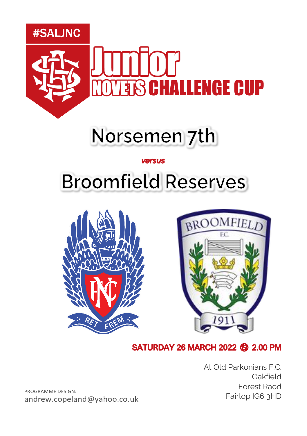

## Norsemen 7th

#### **versus**

## **Broomfield Reserves**





#### **SATURDAY 26 MARCH 2022 69 2.00 PM**

At Old Parkonians F.C. Oakfield Forest Raod Fairlop IG6 3HD

PROGRAMME DESIGN: andrew.copeland@yahoo.co.uk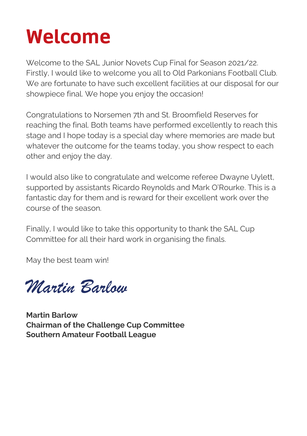### **Welcome**

Welcome to the SAL Junior Novets Cup Final for Season 2021/22. Firstly, I would like to welcome you all to Old Parkonians Football Club. We are fortunate to have such excellent facilities at our disposal for our showpiece final. We hope you enjoy the occasion!

Congratulations to Norsemen 7th and St. Broomfield Reserves for reaching the final. Both teams have performed excellently to reach this stage and I hope today is a special day where memories are made but whatever the outcome for the teams today, you show respect to each other and enjoy the day.

I would also like to congratulate and welcome referee Dwayne Uylett, supported by assistants Ricardo Reynolds and Mark O'Rourke. This is a fantastic day for them and is reward for their excellent work over the course of the season.

Finally, I would like to take this opportunity to thank the SAL Cup Committee for all their hard work in organising the finals.

May the best team win!

*Martin Barlow*

**Martin Barlow Chairman of the Challenge Cup Committee Southern Amateur Football League**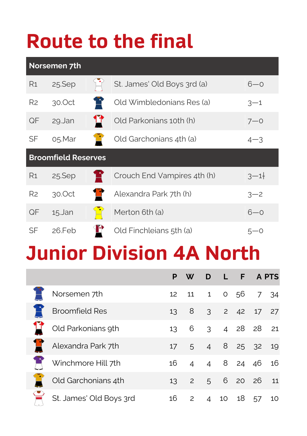# **Route to the final**

| Norsemen 7th   |                            |              |                             |         |  |  |  |
|----------------|----------------------------|--------------|-----------------------------|---------|--|--|--|
| R1             | 25.Sep                     |              | St. James' Old Boys 3rd (a) | $6 - 0$ |  |  |  |
| R <sub>2</sub> | 30.0ct                     | ΤŢ           | Old Wimbledonians Res (a)   | $3 - 1$ |  |  |  |
| QF             | 29.Jan                     | $\mathbf{L}$ | Old Parkonians 10th (h)     | $7 - 0$ |  |  |  |
| SF             | 05.Mar                     |              | Old Garchonians 4th (a)     | $4 - 3$ |  |  |  |
|                |                            |              |                             |         |  |  |  |
|                | <b>Broomfield Reserves</b> |              |                             |         |  |  |  |
| R <sub>1</sub> | 25.Sep                     |              | Crouch End Vampires 4th (h) | $3 - 1$ |  |  |  |
| R <sub>2</sub> | 30.0ct                     |              | Alexandra Park 7th (h)      | $3 - 2$ |  |  |  |
| QF             | 15.Jan                     |              | Merton 6th (a)              | $6 - 0$ |  |  |  |

## **Junior Division 4A North**

|                         |                 | W                 |        | D L F APTS     |       |    |
|-------------------------|-----------------|-------------------|--------|----------------|-------|----|
| Norsemen 7th            | 12 <sup>2</sup> | 11                |        | 1 0 56 7 34    |       |    |
| <b>Broomfield Res</b>   | 13 <sup>°</sup> | 8 3 2 42 17 27    |        |                |       |    |
| Old Parkonians 9th      |                 | 13 6 3 4 28 28 21 |        |                |       |    |
| Alexandra Park 7th      | 17              |                   |        | 5 4 8 25 32 19 |       |    |
| Winchmore Hill 7th      | 16              |                   |        | 4 4 8 24 46 16 |       |    |
| Old Garchonians 4th     |                 | 13 2 5 6 20 26 11 |        |                |       |    |
| St. James' Old Boys 3rd | 16              |                   | 2 4 10 |                | 18 57 | 10 |